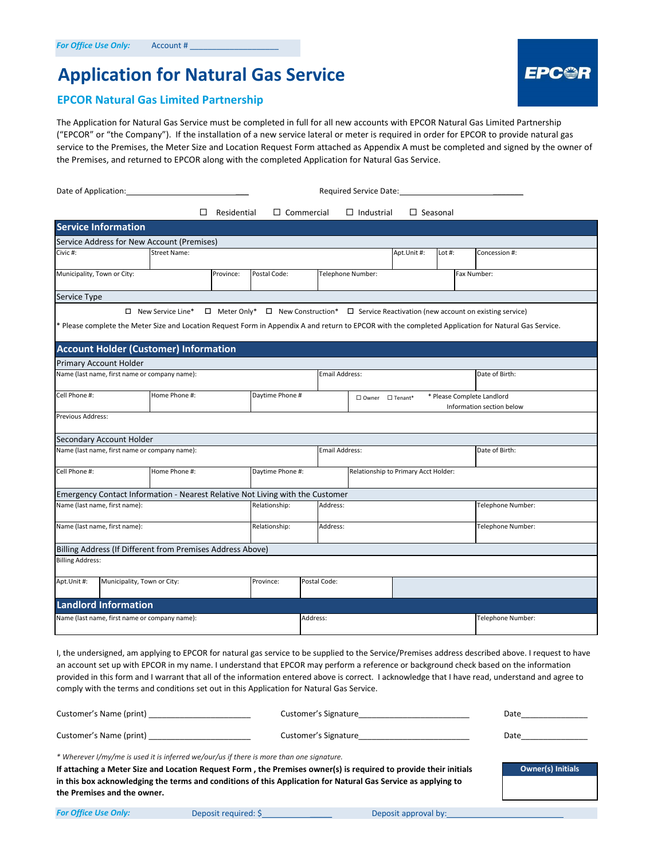## **Application for Natural Gas Service**

# **EPC@R**

#### **EPCOR Natural Gas Limited Partnership**

The Application for Natural Gas Service must be completed in full for all new accounts with EPCOR Natural Gas Limited Partnership ("EPCOR" or "the Company"). If the installation of a new service lateral or meter is required in order for EPCOR to provide natural gas service to the Premises, the Meter Size and Location Request Form attached as Appendix A must be completed and signed by the owner of the Premises, and returned to EPCOR along with the completed Application for Natural Gas Service.

| Date of Application:                                                                                                                                                             | Required Service Date:                                                        |                 |               |                  |                       |                                                                 |                                      |                   |                   |                                                                                                           |
|----------------------------------------------------------------------------------------------------------------------------------------------------------------------------------|-------------------------------------------------------------------------------|-----------------|---------------|------------------|-----------------------|-----------------------------------------------------------------|--------------------------------------|-------------------|-------------------|-----------------------------------------------------------------------------------------------------------|
|                                                                                                                                                                                  | П<br>Residential<br>$\Box$ Commercial<br>$\Box$ Industrial<br>$\Box$ Seasonal |                 |               |                  |                       |                                                                 |                                      |                   |                   |                                                                                                           |
| <b>Service Information</b>                                                                                                                                                       |                                                                               |                 |               |                  |                       |                                                                 |                                      |                   |                   |                                                                                                           |
| Service Address for New Account (Premises)                                                                                                                                       |                                                                               |                 |               |                  |                       |                                                                 |                                      |                   |                   |                                                                                                           |
| <b>Street Name:</b><br>Civic #:                                                                                                                                                  |                                                                               |                 |               |                  |                       |                                                                 | Apt.Unit #:                          | Lot #:            |                   | Concession #:                                                                                             |
| Municipality, Town or City:                                                                                                                                                      |                                                                               | Province:       | Postal Code:  |                  |                       | Telephone Number:                                               |                                      |                   | Fax Number:       |                                                                                                           |
| Service Type                                                                                                                                                                     |                                                                               |                 |               |                  |                       |                                                                 |                                      |                   |                   |                                                                                                           |
| $\Box$ New Service Line*<br>* Please complete the Meter Size and Location Request Form in Appendix A and return to EPCOR with the completed Application for Natural Gas Service. |                                                                               |                 |               |                  |                       |                                                                 |                                      |                   |                   | $\Box$ Meter Only* $\Box$ New Construction* $\Box$ Service Reactivation (new account on existing service) |
| <b>Account Holder (Customer) Information</b>                                                                                                                                     |                                                                               |                 |               |                  |                       |                                                                 |                                      |                   |                   |                                                                                                           |
| <b>Primary Account Holder</b>                                                                                                                                                    |                                                                               |                 |               |                  |                       |                                                                 |                                      |                   |                   |                                                                                                           |
| Name (last name, first name or company name):                                                                                                                                    |                                                                               |                 |               |                  | <b>Email Address:</b> |                                                                 |                                      |                   |                   | Date of Birth:                                                                                            |
| Cell Phone #:<br>Home Phone #:                                                                                                                                                   |                                                                               | Daytime Phone # |               |                  |                       | * Please Complete Landlord<br>$\square$ Owner $\square$ Tenant* |                                      |                   |                   | Information section below                                                                                 |
| Previous Address:                                                                                                                                                                |                                                                               |                 |               |                  |                       |                                                                 |                                      |                   |                   |                                                                                                           |
| Secondary Account Holder                                                                                                                                                         |                                                                               |                 |               |                  |                       |                                                                 |                                      |                   |                   |                                                                                                           |
| Name (last name, first name or company name):                                                                                                                                    |                                                                               |                 |               |                  | <b>Email Address:</b> |                                                                 |                                      |                   |                   | Date of Birth:                                                                                            |
| Cell Phone #:                                                                                                                                                                    | Home Phone #:                                                                 |                 |               | Daytime Phone #: |                       |                                                                 | Relationship to Primary Acct Holder: |                   |                   |                                                                                                           |
| Emergency Contact Information - Nearest Relative Not Living with the Customer                                                                                                    |                                                                               |                 |               |                  |                       |                                                                 |                                      |                   |                   |                                                                                                           |
| Name (last name, first name):                                                                                                                                                    |                                                                               |                 | Relationship: |                  | Address:              |                                                                 |                                      |                   |                   | Telephone Number:                                                                                         |
| Name (last name, first name):                                                                                                                                                    |                                                                               |                 | Relationship: |                  | Address:              |                                                                 |                                      |                   | Telephone Number: |                                                                                                           |
| Billing Address (If Different from Premises Address Above)                                                                                                                       |                                                                               |                 |               |                  |                       |                                                                 |                                      |                   |                   |                                                                                                           |
| <b>Billing Address:</b>                                                                                                                                                          |                                                                               |                 |               |                  |                       |                                                                 |                                      |                   |                   |                                                                                                           |
| Apt.Unit #:<br>Municipality, Town or City:                                                                                                                                       |                                                                               |                 | Province:     | Postal Code:     |                       |                                                                 |                                      |                   |                   |                                                                                                           |
| <b>Landlord Information</b>                                                                                                                                                      |                                                                               |                 |               |                  |                       |                                                                 |                                      |                   |                   |                                                                                                           |
| Name (last name, first name or company name):                                                                                                                                    |                                                                               |                 |               | Address:         |                       |                                                                 |                                      | Telephone Number: |                   |                                                                                                           |

I, the undersigned, am applying to EPCOR for natural gas service to be supplied to the Service/Premises address described above. I request to have an account set up with EPCOR in my name. I understand that EPCOR may perform a reference or background check based on the information provided in this form and I warrant that all of the information entered above is correct. I acknowledge that I have read, understand and agree to comply with the terms and conditions set out in this Application for Natural Gas Service.

| Customer's Name (print)                                                                                                                                                                                                                                                                                                                                      | Customer's Signature | Date                     |
|--------------------------------------------------------------------------------------------------------------------------------------------------------------------------------------------------------------------------------------------------------------------------------------------------------------------------------------------------------------|----------------------|--------------------------|
| Customer's Name (print)                                                                                                                                                                                                                                                                                                                                      | Customer's Signature | Date                     |
| * Wherever I/my/me is used it is inferred we/our/us if there is more than one signature.<br>If attaching a Meter Size and Location Request Form, the Premises owner(s) is required to provide their initials<br>in this box acknowledging the terms and conditions of this Application for Natural Gas Service as applying to<br>the Premises and the owner. |                      | <b>Owner(s) Initials</b> |

| <b>For Office Use Only:</b> | Deposit required: \$ | Deposit approval by: |
|-----------------------------|----------------------|----------------------|
|-----------------------------|----------------------|----------------------|